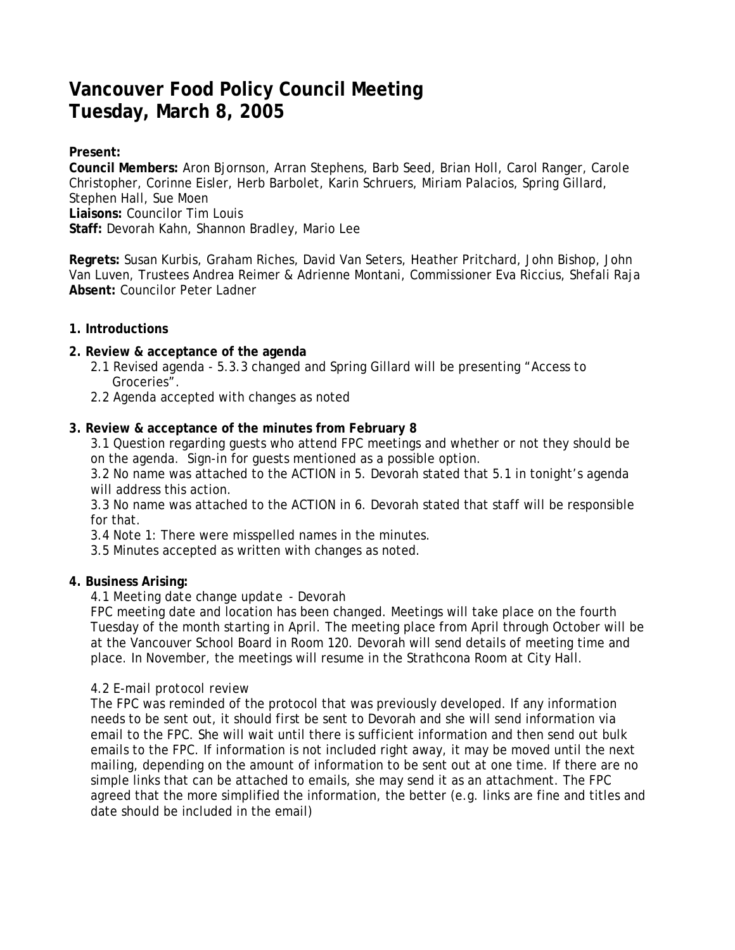# **Vancouver Food Policy Council Meeting Tuesday, March 8, 2005**

# **Present:**

**Council Members:** Aron Bjornson, Arran Stephens, Barb Seed, Brian Holl, Carol Ranger, Carole Christopher, Corinne Eisler, Herb Barbolet, Karin Schruers, Miriam Palacios, Spring Gillard, Stephen Hall, Sue Moen **Liaisons:** Councilor Tim Louis **Staff:** Devorah Kahn, Shannon Bradley, Mario Lee

**Regrets:** Susan Kurbis, Graham Riches, David Van Seters, Heather Pritchard, John Bishop, John Van Luven, Trustees Andrea Reimer & Adrienne Montani, Commissioner Eva Riccius, Shefali Raja **Absent:** Councilor Peter Ladner

#### **1. Introductions**

# **2. Review & acceptance of the agenda**

- 2.1 Revised agenda 5.3.3 changed and Spring Gillard will be presenting "Access to Groceries".
- 2.2 Agenda accepted with changes as noted

# **3. Review & acceptance of the minutes from February 8**

3.1 Question regarding guests who attend FPC meetings and whether or not they should be on the agenda. Sign-in for guests mentioned as a possible option.

3.2 No name was attached to the ACTION in 5. Devorah stated that 5.1 in tonight's agenda will address this action.

3.3 No name was attached to the ACTION in 6. Devorah stated that staff will be responsible for that.

3.4 Note 1: There were misspelled names in the minutes.

3.5 Minutes accepted as written with changes as noted.

#### **4. Business Arising:**

#### 4.1 *Meeting date change update* - Devorah

FPC meeting date and location has been changed. Meetings will take place on the fourth Tuesday of the month starting in April. The meeting place from April through October will be at the Vancouver School Board in Room 120. Devorah will send details of meeting time and place. In November, the meetings will resume in the Strathcona Room at City Hall.

#### 4.2 *E-mail protocol review*

The FPC was reminded of the protocol that was previously developed. If any information needs to be sent out, it should first be sent to Devorah and she will send information via email to the FPC. She will wait until there is sufficient information and then send out bulk emails to the FPC. If information is not included right away, it may be moved until the next mailing, depending on the amount of information to be sent out at one time. If there are no simple links that can be attached to emails, she may send it as an attachment. The FPC agreed that the more simplified the information, the better (e.g. links are fine and titles and date should be included in the email)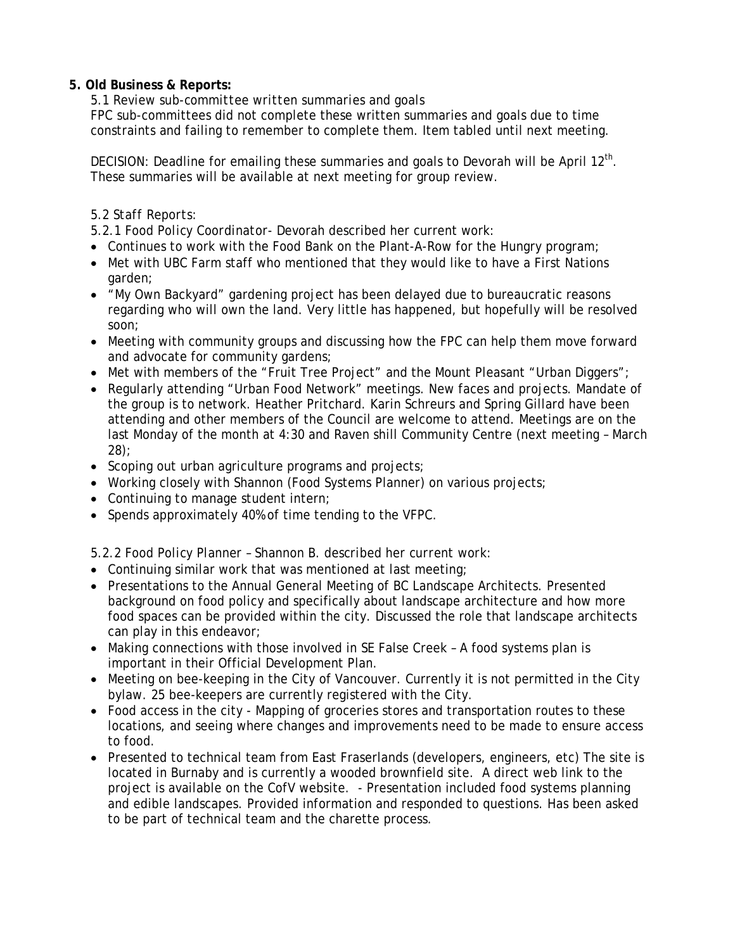### **5. Old Business & Reports:**

# 5.1 *Review sub-committee written summaries and goals*

FPC sub-committees did not complete these written summaries and goals due to time constraints and failing to remember to complete them. Item tabled until next meeting.

DECISION: Deadline for emailing these summaries and goals to Devorah will be April 12<sup>th</sup>. These summaries will be available at next meeting for group review.

# 5.2 *Staff Reports:*

- *5.2.1 Food Policy Coordinator-* Devorah described her current work:
- Continues to work with the Food Bank on the Plant-A-Row for the Hungry program;
- Met with UBC Farm staff who mentioned that they would like to have a First Nations garden;
- "My Own Backyard" gardening project has been delayed due to bureaucratic reasons regarding who will own the land. Very little has happened, but hopefully will be resolved soon;
- Meeting with community groups and discussing how the FPC can help them move forward and advocate for community gardens;
- Met with members of the "Fruit Tree Project" and the Mount Pleasant "Urban Diggers";
- Regularly attending "Urban Food Network" meetings. New faces and projects. Mandate of the group is to network. Heather Pritchard. Karin Schreurs and Spring Gillard have been attending and other members of the Council are welcome to attend. Meetings are on the last Monday of the month at 4:30 and Raven shill Community Centre (next meeting – March 28);
- Scoping out urban agriculture programs and projects;
- Working closely with Shannon (Food Systems Planner) on various projects;
- Continuing to manage student intern;
- Spends approximately 40% of time tending to the VFPC.

*5.2.2 Food Policy Planner – Shannon B. described her current work:* 

- Continuing similar work that was mentioned at last meeting;
- Presentations to the Annual General Meeting of BC Landscape Architects. Presented background on food policy and specifically about landscape architecture and how more food spaces can be provided within the city. Discussed the role that landscape architects can play in this endeavor;
- Making connections with those involved in SE False Creek A food systems plan is important in their Official Development Plan.
- Meeting on bee-keeping in the City of Vancouver. Currently it is not permitted in the City bylaw. 25 bee-keepers are currently registered with the City.
- Food access in the city Mapping of groceries stores and transportation routes to these locations, and seeing where changes and improvements need to be made to ensure access to food.
- Presented to technical team from East Fraserlands (developers, engineers, etc) The site is located in Burnaby and is currently a wooded brownfield site. A direct web link to the project is available on the CofV website. - Presentation included food systems planning and edible landscapes. Provided information and responded to questions. Has been asked to be part of technical team and the charette process.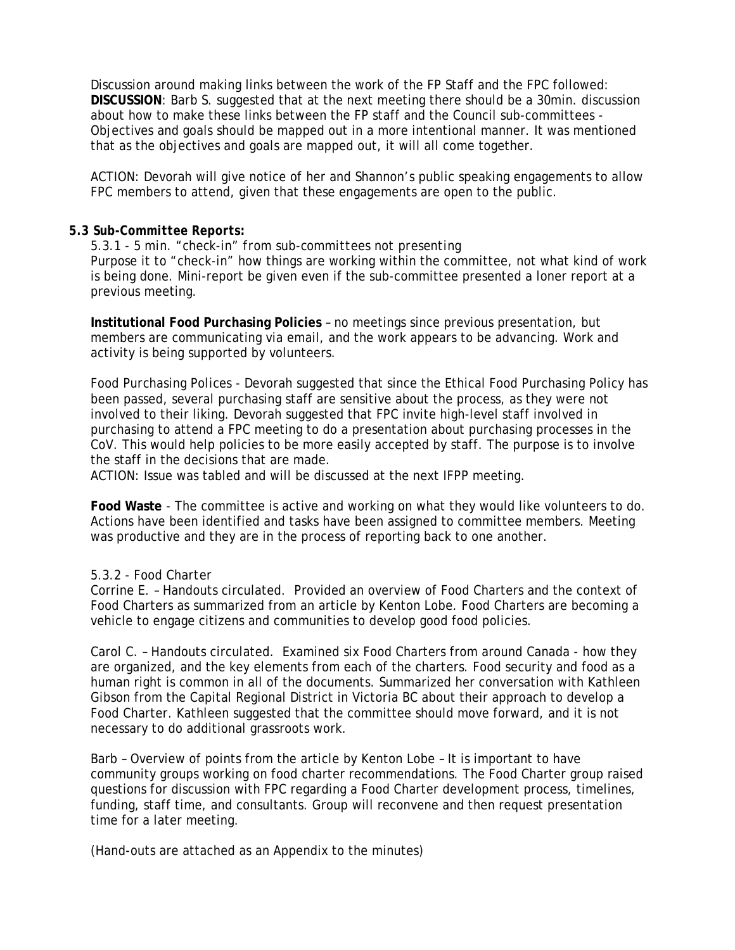Discussion around making links between the work of the FP Staff and the FPC followed: **DISCUSSION**: Barb S. suggested that at the next meeting there should be a 30min. discussion about how to make these links between the FP staff and the Council sub-committees - Objectives and goals should be mapped out in a more intentional manner. It was mentioned that as the objectives and goals are mapped out, it will all come together.

ACTION: Devorah will give notice of her and Shannon's public speaking engagements to allow FPC members to attend, given that these engagements are open to the public.

#### *5.3 Sub-Committee Reports:*

*5.3.1 - 5 min. "check-in" from sub-committees not presenting*  Purpose it to "check-in" how things are working within the committee, not what kind of work is being done. Mini-report be given even if the sub-committee presented a loner report at a previous meeting.

**Institutional Food Purchasing Policies** – no meetings since previous presentation, but members are communicating via email, and the work appears to be advancing. Work and activity is being supported by volunteers.

*Food Purchasing Polices* - Devorah suggested that since the Ethical Food Purchasing Policy has been passed, several purchasing staff are sensitive about the process, as they were not involved to their liking. Devorah suggested that FPC invite high-level staff involved in purchasing to attend a FPC meeting to do a presentation about purchasing processes in the CoV. This would help policies to be more easily accepted by staff. The purpose is to involve the staff in the decisions that are made.

ACTION: Issue was tabled and will be discussed at the next IFPP meeting.

**Food Waste** - The committee is active and working on what they would like volunteers to do. Actions have been identified and tasks have been assigned to committee members. Meeting was productive and they are in the process of reporting back to one another.

#### *5.3.2 - Food Charter*

Corrine E. – Handouts circulated. Provided an overview of Food Charters and the context of Food Charters as summarized from an article by Kenton Lobe. Food Charters are becoming a vehicle to engage citizens and communities to develop good food policies.

Carol C. – Handouts circulated. Examined six Food Charters from around Canada - how they are organized, and the key elements from each of the charters. Food security and food as a human right is common in all of the documents. Summarized her conversation with Kathleen Gibson from the Capital Regional District in Victoria BC about their approach to develop a Food Charter. Kathleen suggested that the committee should move forward, and it is not necessary to do additional grassroots work.

Barb – Overview of points from the article by Kenton Lobe – It is important to have community groups working on food charter recommendations. The Food Charter group raised questions for discussion with FPC regarding a Food Charter development process, timelines, funding, staff time, and consultants. Group will reconvene and then request presentation time for a later meeting.

(Hand-outs are attached as an Appendix to the minutes)